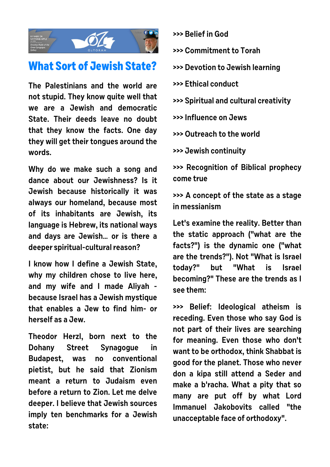

## **What Sort of Jewish State?**

**The Palestinians and the world are not stupid. They know quite well that we are a Jewish and democratic State. Their deeds leave no doubt that they know the facts. One day they will get their tongues around the words.**

**Why do we make such a song and dance about our Jewishness? Is it Jewish because historically it was always our homeland, because most of its inhabitants are Jewish, its language is Hebrew, its national ways and days are Jewish… or is there a deeper spiritual-cultural reason?**

**I know how I define a Jewish State, why my children chose to live here, and my wife and I made Aliyah because Israel has a Jewish mystique that enables a Jew to find him- or herself as a Jew.**

**Theodor Herzl, born next to the Dohany Street Synagogue in Budapest, was no conventional pietist, but he said that Zionism meant a return to Judaism even before a return to Zion. Let me delve deeper. I believe that Jewish sources imply ten benchmarks for a Jewish state:**

- **>>> Belief in God**
- **>>> Commitment to Torah**
- **>>> Devotion to Jewish learning**
- **>>> Ethical conduct**
- **>>> Spiritual and cultural creativity**
- **>>> Influence on Jews**
- **>>> Outreach to the world**
- **>>> Jewish continuity**

**>>> Recognition of Biblical prophecy come true**

**>>> A concept of the state as a stage in messianism**

**Let's examine the reality. Better than the static approach ("what are the facts?") is the dynamic one ("what are the trends?"). Not "What is Israel today?" but "What is Israel becoming?" These are the trends as I see them:**

**>>> Belief: Ideological atheism is receding. Even those who say God is not part of their lives are searching for meaning. Even those who don't want to be orthodox, think Shabbat is good for the planet. Those who never don a kipa still attend a Seder and make a b'racha. What a pity that so many are put off by what Lord Immanuel Jakobovits called "the unacceptable face of orthodoxy".**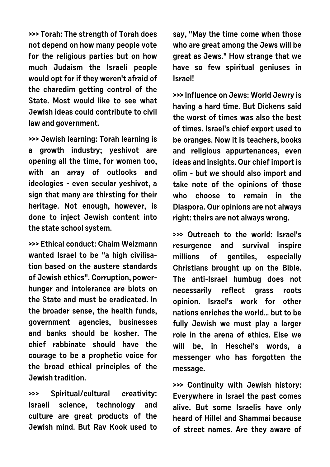**>>> Torah: The strength of Torah does not depend on how many people vote for the religious parties but on how much Judaism the Israeli people would opt for if they weren't afraid of the charedim getting control of the State. Most would like to see what Jewish ideas could contribute to civil law and government.**

**>>> Jewish learning: Torah learning is a growth industry; yeshivot are opening all the time, for women too, with an array of outlooks and ideologies - even secular yeshivot, a sign that many are thirsting for their heritage. Not enough, however, is done to inject Jewish content into the state school system.**

**>>> Ethical conduct: Chaim Weizmann wanted Israel to be "a high civilisation based on the austere standards of Jewish ethics". Corruption, powerhunger and intolerance are blots on the State and must be eradicated. In the broader sense, the health funds, government agencies, businesses and banks should be kosher. The chief rabbinate should have the courage to be a prophetic voice for the broad ethical principles of the Jewish tradition.**

**>>> Spiritual/cultural creativity: Israeli science, technology and culture are great products of the Jewish mind. But Rav Kook used to** **say, "May the time come when those who are great among the Jews will be great as Jews." How strange that we have so few spiritual geniuses in Israel!**

**>>> Influence on Jews: World Jewry is having a hard time. But Dickens said the worst of times was also the best of times. Israel's chief export used to be oranges. Now it is teachers, books and religious appurtenances, even ideas and insights. Our chief import is olim - but we should also import and take note of the opinions of those who choose to remain in the Diaspora. Our opinions are not always right: theirs are not always wrong.**

**>>> Outreach to the world: Israel's resurgence and survival inspire millions of gentiles, especially Christians brought up on the Bible. The anti-Israel humbug does not necessarily reflect grass roots opinion. Israel's work for other nations enriches the world… but to be fully Jewish we must play a larger role in the arena of ethics. Else we will be, in Heschel's words, a messenger who has forgotten the message.**

**>>> Continuity with Jewish history: Everywhere in Israel the past comes alive. But some Israelis have only heard of Hillel and Shammai because of street names. Are they aware of**